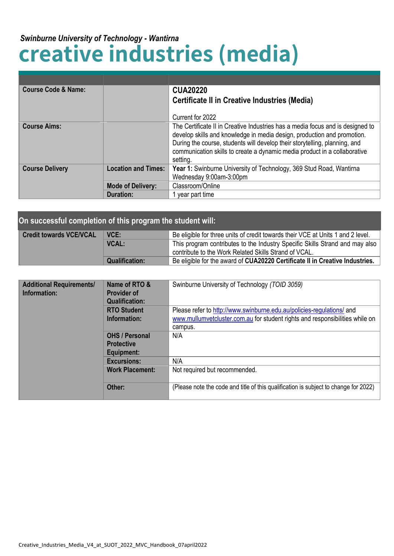## **creative industries (media)** *Swinburne University of Technology - Wantirna*

| <b>Course Code &amp; Name:</b> |                            | <b>CUA20220</b><br><b>Certificate II in Creative Industries (Media)</b>                                                                                                                                                                                                                                                          |
|--------------------------------|----------------------------|----------------------------------------------------------------------------------------------------------------------------------------------------------------------------------------------------------------------------------------------------------------------------------------------------------------------------------|
|                                |                            | Current for 2022                                                                                                                                                                                                                                                                                                                 |
| <b>Course Aims:</b>            |                            | The Certificate II in Creative Industries has a media focus and is designed to<br>develop skills and knowledge in media design, production and promotion.<br>During the course, students will develop their storytelling, planning, and<br>communication skills to create a dynamic media product in a collaborative<br>setting. |
| <b>Course Delivery</b>         | <b>Location and Times:</b> | Year 1: Swinburne University of Technology, 369 Stud Road, Wantirna                                                                                                                                                                                                                                                              |
|                                |                            | Wednesday 9:00am-3:00pm                                                                                                                                                                                                                                                                                                          |
|                                | <b>Mode of Delivery:</b>   | Classroom/Online                                                                                                                                                                                                                                                                                                                 |
|                                | Duration:                  | year part time                                                                                                                                                                                                                                                                                                                   |

| On successful completion of this program the student will: |                       |                                                                                 |
|------------------------------------------------------------|-----------------------|---------------------------------------------------------------------------------|
| <b>Credit towards VCE/VCAL</b>                             | VCE:                  | Be eligible for three units of credit towards their VCE at Units 1 and 2 level. |
|                                                            | <b>VCAL:</b>          | This program contributes to the Industry Specific Skills Strand and may also    |
|                                                            |                       | contribute to the Work Related Skills Strand of VCAL.                           |
|                                                            | <b>Qualification:</b> | Be eligible for the award of CUA20220 Certificate II in Creative Industries.    |

| <b>Additional Requirements/</b><br>Information: | Name of RTO &<br><b>Provider of</b><br><b>Qualification:</b> | Swinburne University of Technology (TOID 3059)                                                                                                                   |
|-------------------------------------------------|--------------------------------------------------------------|------------------------------------------------------------------------------------------------------------------------------------------------------------------|
|                                                 | <b>RTO Student</b><br>Information:                           | Please refer to http://www.swinburne.edu.au/policies-regulations/ and<br>www.mullumvetcluster.com.au for student rights and responsibilities while on<br>campus. |
|                                                 | <b>OHS / Personal</b><br><b>Protective</b><br>Equipment:     | N/A                                                                                                                                                              |
|                                                 | <b>Excursions:</b>                                           | N/A                                                                                                                                                              |
|                                                 | <b>Work Placement:</b>                                       | Not required but recommended.                                                                                                                                    |
|                                                 | Other:                                                       | (Please note the code and title of this qualification is subject to change for 2022)                                                                             |